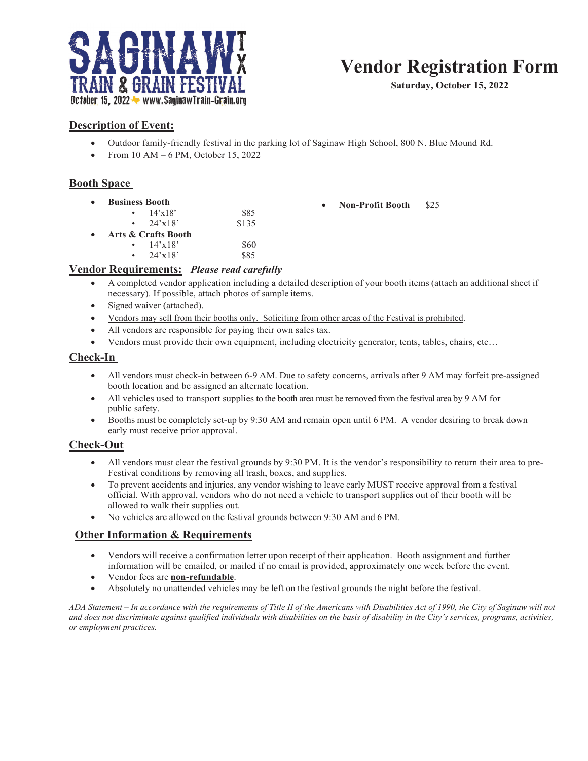

# **Vendor Registration Form**

**Saturday, October 15, 2022**

### **Description of Event:**

- Outdoor family-friendly festival in the parking lot of Saginaw High School, 800 N. Blue Mound Rd.
- x From 10 AM 6 PM, October 15, 2022

#### **Booth Space**

**Business Booth** •  $14'x18'$  \$85 • 24'x18' \$15 x **Arts & Crafts Booth** •  $14'x18'$  \$60 24'x18' \$85 **Non-Profit Booth** \$25

#### **Vendor Requirements:** *Please read carefully*

- x A completed vendor application including a detailed description of your booth items (attach an additional sheet if necessary). If possible, attach photos of sample items.
- Signed waiver (attached).
- Vendors may sell from their booths only. Soliciting from other areas of the Festival is prohibited.
- All vendors are responsible for paying their own sales tax.
- Vendors must provide their own equipment, including electricity generator, tents, tables, chairs, etc...

#### **Check-In**

- All vendors must check-in between 6-9 AM. Due to safety concerns, arrivals after 9 AM may forfeit pre-assigned booth location and be assigned an alternate location.
- All vehicles used to transport supplies to the booth area must be removed from the festival area by 9 AM for public safety.
- Booths must be completely set-up by 9:30 AM and remain open until 6 PM. A vendor desiring to break down early must receive prior approval.

#### **Check-Out**

- All vendors must clear the festival grounds by 9:30 PM. It is the vendor's responsibility to return their area to pre-Festival conditions by removing all trash, boxes, and supplies.
- To prevent accidents and injuries, any vendor wishing to leave early MUST receive approval from a festival official. With approval, vendors who do not need a vehicle to transport supplies out of their booth will be allowed to walk their supplies out.
- No vehicles are allowed on the festival grounds between 9:30 AM and 6 PM.

#### **Other Information & Requirements**

- x Vendors will receive a confirmation letter upon receipt of their application. Booth assignment and further information will be emailed, or mailed if no email is provided, approximately one week before the event.
- x Vendor fees are **non-refundable**.
- x Absolutely no unattended vehicles may be left on the festival grounds the night before the festival.

*ADA Statement – In accordance with the requirements of Title II of the Americans with Disabilities Act of 1990, the City of Saginaw will not and does not discriminate against qualified individuals with disabilities on the basis of disability in the City's services, programs, activities, or employment practices.*